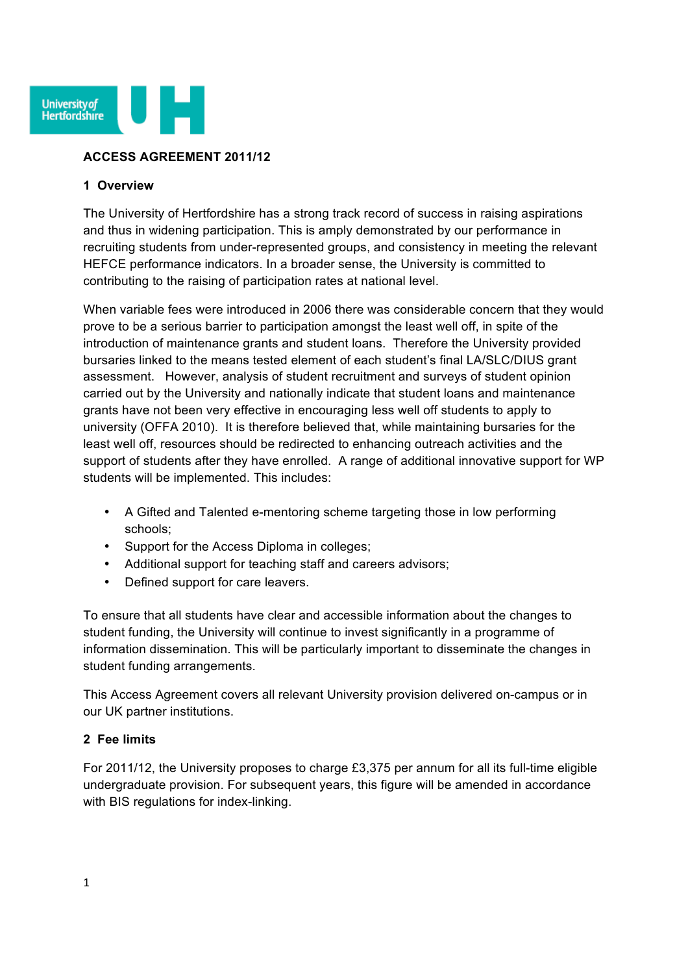

#### **ACCESS AGREEMENT 2011/12**

#### **1 Overview**

The University of Hertfordshire has a strong track record of success in raising aspirations and thus in widening participation. This is amply demonstrated by our performance in recruiting students from under-represented groups, and consistency in meeting the relevant HEFCE performance indicators. In a broader sense, the University is committed to contributing to the raising of participation rates at national level.

When variable fees were introduced in 2006 there was considerable concern that they would prove to be a serious barrier to participation amongst the least well off, in spite of the introduction of maintenance grants and student loans. Therefore the University provided bursaries linked to the means tested element of each student's final LA/SLC/DIUS grant assessment. However, analysis of student recruitment and surveys of student opinion carried out by the University and nationally indicate that student loans and maintenance grants have not been very effective in encouraging less well off students to apply to university (OFFA 2010). It is therefore believed that, while maintaining bursaries for the least well off, resources should be redirected to enhancing outreach activities and the support of students after they have enrolled. A range of additional innovative support for WP students will be implemented. This includes:

- A Gifted and Talented e-mentoring scheme targeting those in low performing schools;
- Support for the Access Diploma in colleges;
- Additional support for teaching staff and careers advisors;
- Defined support for care leavers.

To ensure that all students have clear and accessible information about the changes to student funding, the University will continue to invest significantly in a programme of information dissemination. This will be particularly important to disseminate the changes in student funding arrangements.

This Access Agreement covers all relevant University provision delivered on-campus or in our UK partner institutions.

### **2 Fee limits**

For 2011/12, the University proposes to charge £3,375 per annum for all its full-time eligible undergraduate provision. For subsequent years, this figure will be amended in accordance with BIS regulations for index-linking.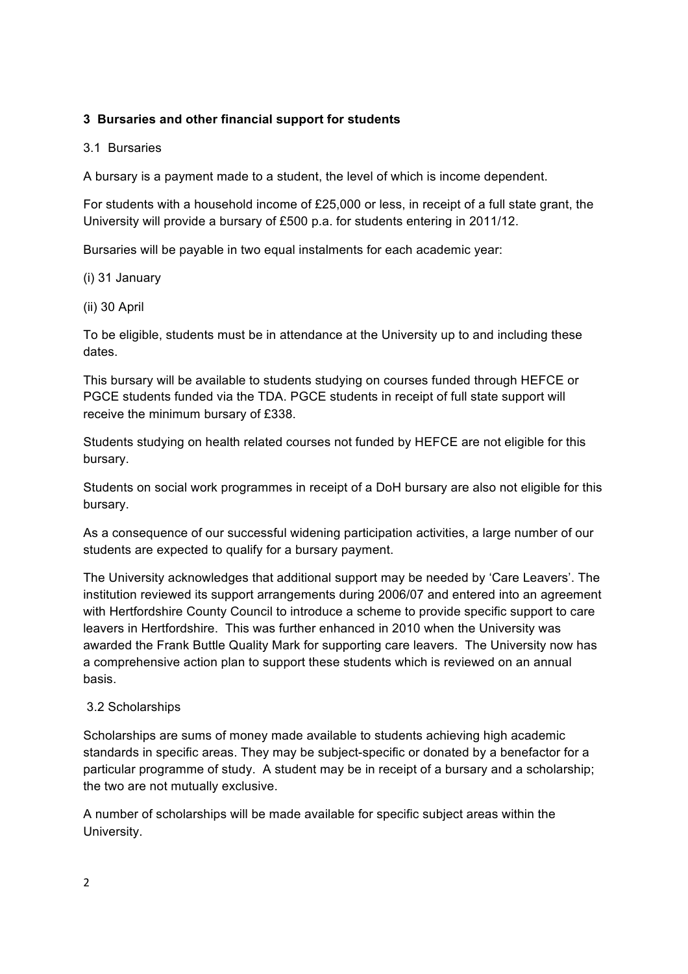# **3 Bursaries and other financial support for students**

#### 3.1 Bursaries

A bursary is a payment made to a student, the level of which is income dependent.

For students with a household income of £25,000 or less, in receipt of a full state grant, the University will provide a bursary of £500 p.a. for students entering in 2011/12.

Bursaries will be payable in two equal instalments for each academic year:

### (i) 31 January

#### (ii) 30 April

To be eligible, students must be in attendance at the University up to and including these dates.

This bursary will be available to students studying on courses funded through HEFCE or PGCE students funded via the TDA. PGCE students in receipt of full state support will receive the minimum bursary of £338.

Students studying on health related courses not funded by HEFCE are not eligible for this bursary.

Students on social work programmes in receipt of a DoH bursary are also not eligible for this bursary.

As a consequence of our successful widening participation activities, a large number of our students are expected to qualify for a bursary payment.

The University acknowledges that additional support may be needed by 'Care Leavers'. The institution reviewed its support arrangements during 2006/07 and entered into an agreement with Hertfordshire County Council to introduce a scheme to provide specific support to care leavers in Hertfordshire. This was further enhanced in 2010 when the University was awarded the Frank Buttle Quality Mark for supporting care leavers. The University now has a comprehensive action plan to support these students which is reviewed on an annual basis.

### 3.2 Scholarships

Scholarships are sums of money made available to students achieving high academic standards in specific areas. They may be subject-specific or donated by a benefactor for a particular programme of study. A student may be in receipt of a bursary and a scholarship; the two are not mutually exclusive.

A number of scholarships will be made available for specific subject areas within the University.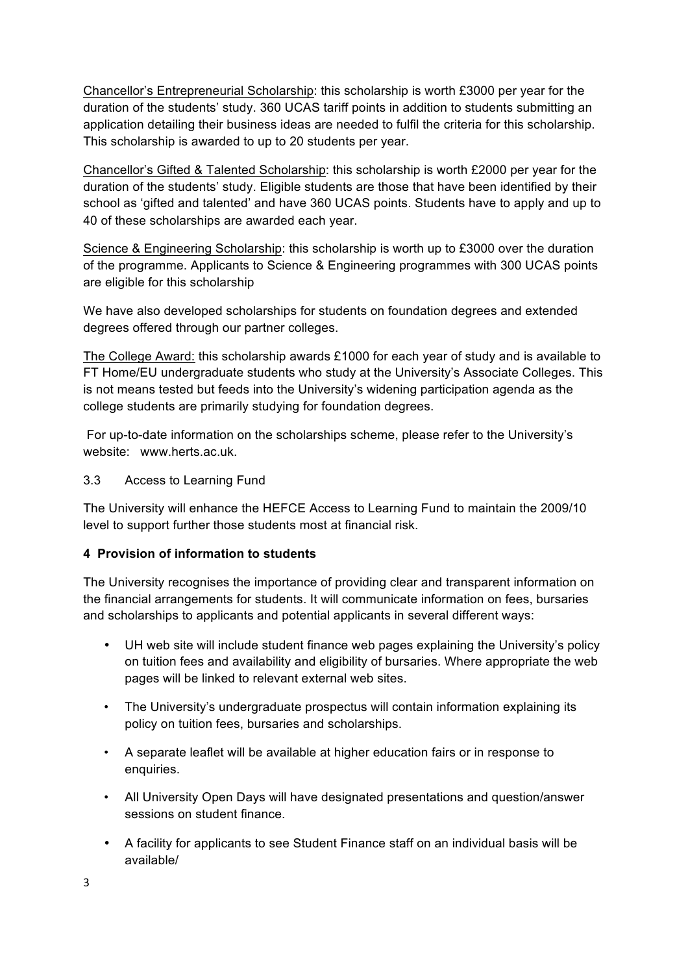Chancellor's Entrepreneurial Scholarship: this scholarship is worth £3000 per year for the duration of the students' study. 360 UCAS tariff points in addition to students submitting an application detailing their business ideas are needed to fulfil the criteria for this scholarship. This scholarship is awarded to up to 20 students per year.

Chancellor's Gifted & Talented Scholarship: this scholarship is worth £2000 per year for the duration of the students' study. Eligible students are those that have been identified by their school as 'gifted and talented' and have 360 UCAS points. Students have to apply and up to 40 of these scholarships are awarded each year.

Science & Engineering Scholarship: this scholarship is worth up to £3000 over the duration of the programme. Applicants to Science & Engineering programmes with 300 UCAS points are eligible for this scholarship

We have also developed scholarships for students on foundation degrees and extended degrees offered through our partner colleges.

The College Award: this scholarship awards £1000 for each year of study and is available to FT Home/EU undergraduate students who study at the University's Associate Colleges. This is not means tested but feeds into the University's widening participation agenda as the college students are primarily studying for foundation degrees.

For up-to-date information on the scholarships scheme, please refer to the University's website: www.herts.ac.uk.

### 3.3 Access to Learning Fund

The University will enhance the HEFCE Access to Learning Fund to maintain the 2009/10 level to support further those students most at financial risk.

### **4 Provision of information to students**

The University recognises the importance of providing clear and transparent information on the financial arrangements for students. It will communicate information on fees, bursaries and scholarships to applicants and potential applicants in several different ways:

- UH web site will include student finance web pages explaining the University's policy on tuition fees and availability and eligibility of bursaries. Where appropriate the web pages will be linked to relevant external web sites.
- The University's undergraduate prospectus will contain information explaining its policy on tuition fees, bursaries and scholarships.
- A separate leaflet will be available at higher education fairs or in response to enquiries.
- All University Open Days will have designated presentations and question/answer sessions on student finance.
- A facility for applicants to see Student Finance staff on an individual basis will be available/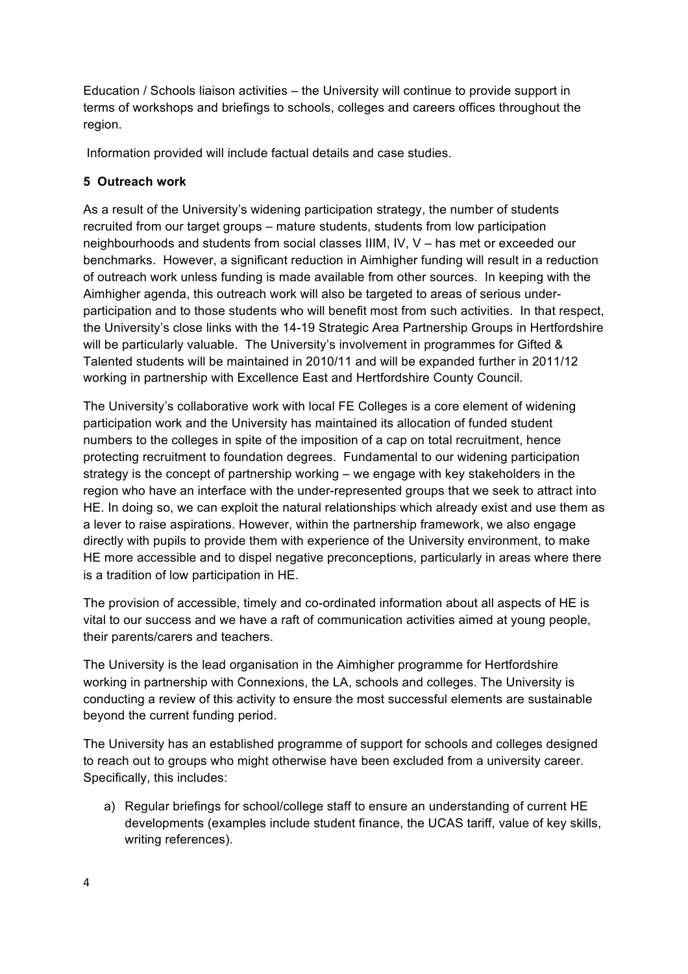Education / Schools liaison activities – the University will continue to provide support in terms of workshops and briefings to schools, colleges and careers offices throughout the region.

Information provided will include factual details and case studies.

# **5 Outreach work**

As a result of the University's widening participation strategy, the number of students recruited from our target groups – mature students, students from low participation neighbourhoods and students from social classes IIIM, IV, V – has met or exceeded our benchmarks. However, a significant reduction in Aimhigher funding will result in a reduction of outreach work unless funding is made available from other sources. In keeping with the Aimhigher agenda, this outreach work will also be targeted to areas of serious underparticipation and to those students who will benefit most from such activities. In that respect, the University's close links with the 14-19 Strategic Area Partnership Groups in Hertfordshire will be particularly valuable. The University's involvement in programmes for Gifted & Talented students will be maintained in 2010/11 and will be expanded further in 2011/12 working in partnership with Excellence East and Hertfordshire County Council.

The University's collaborative work with local FE Colleges is a core element of widening participation work and the University has maintained its allocation of funded student numbers to the colleges in spite of the imposition of a cap on total recruitment, hence protecting recruitment to foundation degrees. Fundamental to our widening participation strategy is the concept of partnership working – we engage with key stakeholders in the region who have an interface with the under-represented groups that we seek to attract into HE. In doing so, we can exploit the natural relationships which already exist and use them as a lever to raise aspirations. However, within the partnership framework, we also engage directly with pupils to provide them with experience of the University environment, to make HE more accessible and to dispel negative preconceptions, particularly in areas where there is a tradition of low participation in HE.

The provision of accessible, timely and co-ordinated information about all aspects of HE is vital to our success and we have a raft of communication activities aimed at young people, their parents/carers and teachers.

The University is the lead organisation in the Aimhigher programme for Hertfordshire working in partnership with Connexions, the LA, schools and colleges. The University is conducting a review of this activity to ensure the most successful elements are sustainable beyond the current funding period.

The University has an established programme of support for schools and colleges designed to reach out to groups who might otherwise have been excluded from a university career. Specifically, this includes:

a) Regular briefings for school/college staff to ensure an understanding of current HE developments (examples include student finance, the UCAS tariff, value of key skills, writing references).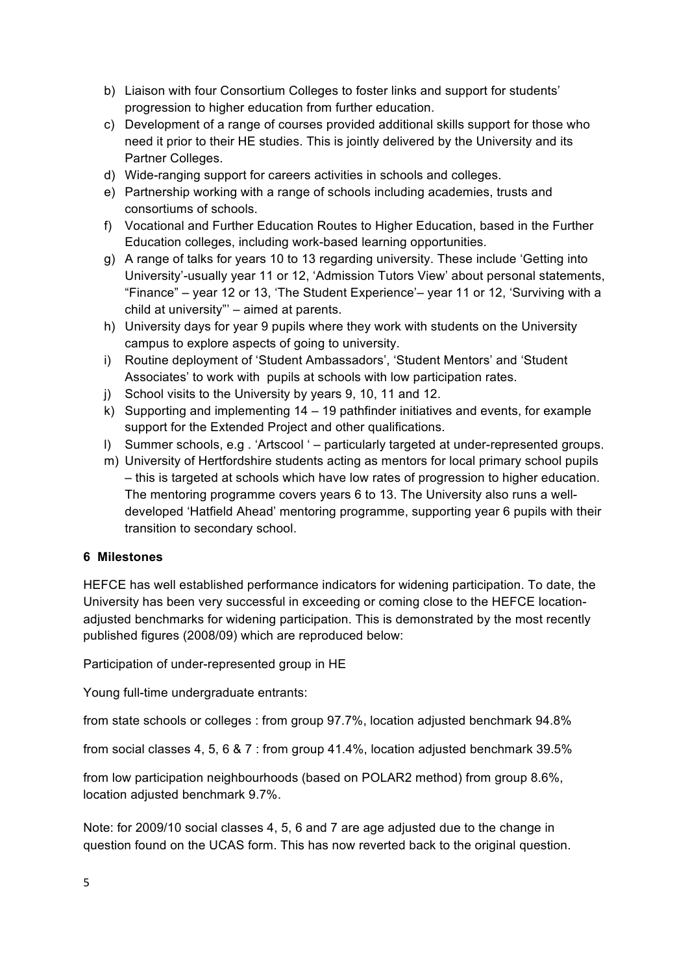- b) Liaison with four Consortium Colleges to foster links and support for students' progression to higher education from further education.
- c) Development of a range of courses provided additional skills support for those who need it prior to their HE studies. This is jointly delivered by the University and its Partner Colleges.
- d) Wide-ranging support for careers activities in schools and colleges.
- e) Partnership working with a range of schools including academies, trusts and consortiums of schools.
- f) Vocational and Further Education Routes to Higher Education, based in the Further Education colleges, including work-based learning opportunities.
- g) A range of talks for years 10 to 13 regarding university. These include 'Getting into University'-usually year 11 or 12, 'Admission Tutors View' about personal statements, "Finance" – year 12 or 13, 'The Student Experience'– year 11 or 12, 'Surviving with a child at university"' – aimed at parents.
- h) University days for year 9 pupils where they work with students on the University campus to explore aspects of going to university.
- i) Routine deployment of 'Student Ambassadors', 'Student Mentors' and 'Student Associates' to work with pupils at schools with low participation rates.
- j) School visits to the University by years 9, 10, 11 and 12.
- k) Supporting and implementing 14 19 pathfinder initiatives and events, for example support for the Extended Project and other qualifications.
- l) Summer schools, e.g . 'Artscool ' particularly targeted at under-represented groups.
- m) University of Hertfordshire students acting as mentors for local primary school pupils – this is targeted at schools which have low rates of progression to higher education. The mentoring programme covers years 6 to 13. The University also runs a welldeveloped 'Hatfield Ahead' mentoring programme, supporting year 6 pupils with their transition to secondary school.

### **6 Milestones**

HEFCE has well established performance indicators for widening participation. To date, the University has been very successful in exceeding or coming close to the HEFCE locationadjusted benchmarks for widening participation. This is demonstrated by the most recently published figures (2008/09) which are reproduced below:

Participation of under-represented group in HE

Young full-time undergraduate entrants:

from state schools or colleges : from group 97.7%, location adjusted benchmark 94.8%

from social classes 4, 5, 6 & 7 : from group 41.4%, location adjusted benchmark 39.5%

from low participation neighbourhoods (based on POLAR2 method) from group 8.6%, location adjusted benchmark 9.7%.

Note: for 2009/10 social classes 4, 5, 6 and 7 are age adjusted due to the change in question found on the UCAS form. This has now reverted back to the original question.